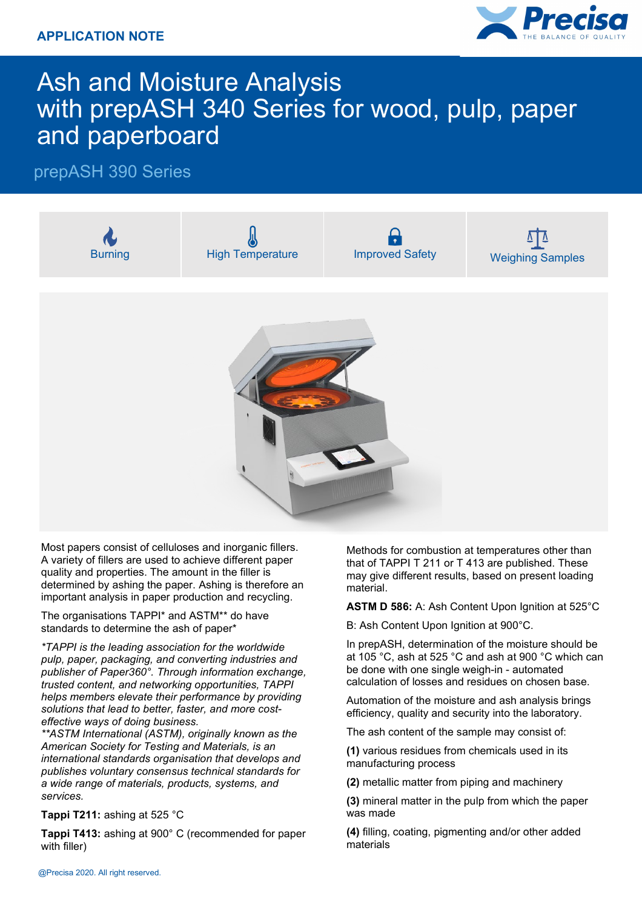

# Ash and Moisture Analysis with prepASH 340 Series for wood, pulp, paper and paperboard

### prepASH 390 Series



Most papers consist of celluloses and inorganic fillers. A variety of fillers are used to achieve different paper quality and properties. The amount in the filler is determined by ashing the paper. Ashing is therefore an important analysis in paper production and recycling.

The organisations TAPPI\* and ASTM\*\* do have standards to determine the ash of paper\*

*\*TAPPI is the leading association for the worldwide pulp, paper, packaging, and converting industries and publisher of Paper360°. Through information exchange, trusted content, and networking opportunities, TAPPI helps members elevate their performance by providing solutions that lead to better, faster, and more costeffective ways of doing business.* 

*\*\*ASTM International (ASTM), originally known as the American Society for Testing and Materials, is an international standards organisation that develops and publishes voluntary consensus technical standards for a wide range of materials, products, systems, and services.*

#### **Tappi T211:** ashing at 525 °C

**Tappi T413:** ashing at 900° C (recommended for paper with filler)

Methods for combustion at temperatures other than that of TAPPI T 211 or T 413 are published. These may give different results, based on present loading material.

**ASTM D 586:** A: Ash Content Upon Ignition at 525°C

B: Ash Content Upon Ignition at 900°C.

In prepASH, determination of the moisture should be at 105 °C, ash at 525 °C and ash at 900 °C which can be done with one single weigh-in - automated calculation of losses and residues on chosen base.

Automation of the moisture and ash analysis brings efficiency, quality and security into the laboratory.

The ash content of the sample may consist of:

**(1)** various residues from chemicals used in its manufacturing process

**(2)** metallic matter from piping and machinery

**(3)** mineral matter in the pulp from which the paper was made

**(4)** filling, coating, pigmenting and/or other added materials